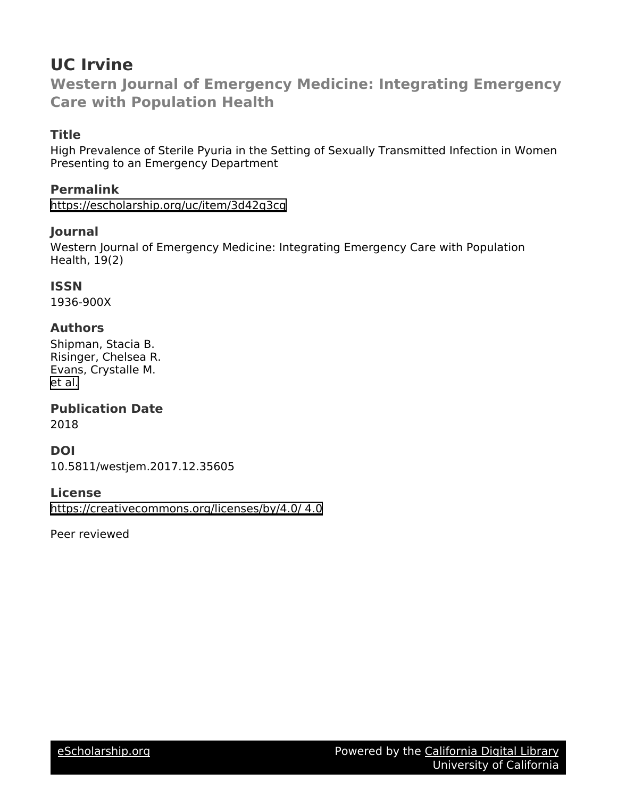## **UC Irvine**

**Western Journal of Emergency Medicine: Integrating Emergency Care with Population Health**

## **Title**

High Prevalence of Sterile Pyuria in the Setting of Sexually Transmitted Infection in Women Presenting to an Emergency Department

## **Permalink**

<https://escholarship.org/uc/item/3d42q3cg>

## **Journal**

Western Journal of Emergency Medicine: Integrating Emergency Care with Population Health, 19(2)

## **ISSN**

1936-900X

## **Authors**

Shipman, Stacia B. Risinger, Chelsea R. Evans, Crystalle M. [et al.](https://escholarship.org/uc/item/3d42q3cg#author)

## **Publication Date**

2018

## **DOI**

10.5811/westjem.2017.12.35605

## **License**

[https://creativecommons.org/licenses/by/4.0/ 4.0](https://creativecommons.org/licenses/https://creativecommons.org/licenses/by/4.0//4.0)

Peer reviewed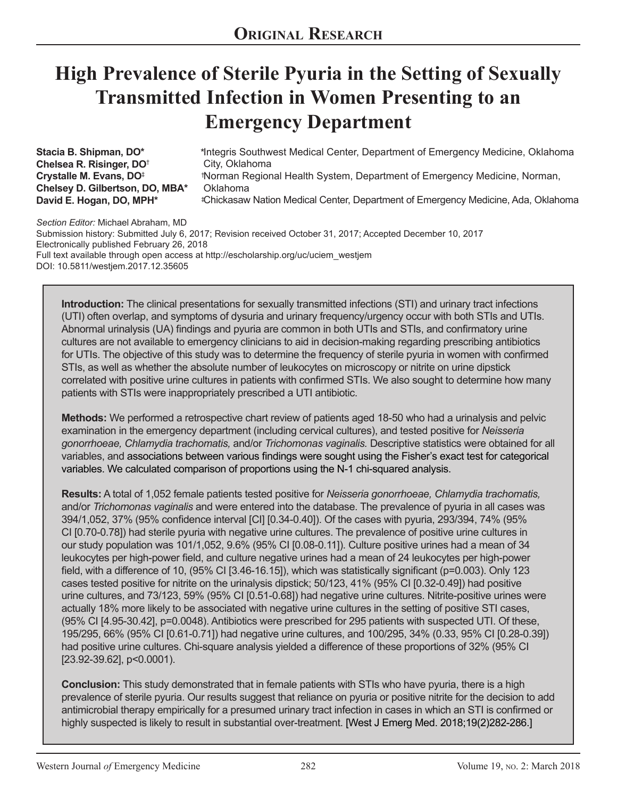# **High Prevalence of Sterile Pyuria in the Setting of Sexually Transmitted Infection in Women Presenting to an Emergency Department**

**Stacia B. Shipman, DO\* Chelsea R. Risinger, DO**† **Crystalle M. Evans, DO**‡ **Chelsey D. Gilbertson, DO, MBA\* David E. Hogan, DO, MPH\*** 

\*Integris Southwest Medical Center, Department of Emergency Medicine, Oklahoma City, Oklahoma Norman Regional Health System, Department of Emergency Medicine, Norman, † Oklahoma Chickasaw Nation Medical Center, Department of Emergency Medicine, Ada, Oklahoma ‡

*Section Editor:* Michael Abraham, MD

Submission history: Submitted July 6, 2017; Revision received October 31, 2017; Accepted December 10, 2017 Electronically published February 26, 2018 Full text available through open access at http://escholarship.org/uc/uciem\_westjem DOI: 10.5811/westjem.2017.12.35605

**Introduction:** The clinical presentations for sexually transmitted infections (STI) and urinary tract infections (UTI) often overlap, and symptoms of dysuria and urinary frequency/urgency occur with both STIs and UTIs. Abnormal urinalysis (UA) findings and pyuria are common in both UTIs and STIs, and confirmatory urine cultures are not available to emergency clinicians to aid in decision-making regarding prescribing antibiotics for UTIs. The objective of this study was to determine the frequency of sterile pyuria in women with confirmed STIs, as well as whether the absolute number of leukocytes on microscopy or nitrite on urine dipstick correlated with positive urine cultures in patients with confirmed STIs. We also sought to determine how many patients with STIs were inappropriately prescribed a UTI antibiotic.

**Methods:** We performed a retrospective chart review of patients aged 18-50 who had a urinalysis and pelvic examination in the emergency department (including cervical cultures), and tested positive for *Neisseria gonorrhoeae, Chlamydia trachomatis,* and/or *Trichomonas vaginalis.* Descriptive statistics were obtained for all variables, and associations between various findings were sought using the Fisher's exact test for categorical variables. We calculated comparison of proportions using the N-1 chi-squared analysis.

**Results:** A total of 1,052 female patients tested positive for *Neisseria gonorrhoeae, Chlamydia trachomatis,*  and/or *Trichomonas vaginalis* and were entered into the database. The prevalence of pyuria in all cases was 394/1,052, 37% (95% confidence interval [CI] [0.34-0.40]). Of the cases with pyuria, 293/394, 74% (95% CI [0.70-0.78]) had sterile pyuria with negative urine cultures. The prevalence of positive urine cultures in our study population was 101/1,052, 9.6% (95% CI [0.08-0.11]). Culture positive urines had a mean of 34 leukocytes per high-power field, and culture negative urines had a mean of 24 leukocytes per high-power field, with a difference of 10, (95% CI [3.46-16.15]), which was statistically significant (p=0.003). Only 123 cases tested positive for nitrite on the urinalysis dipstick; 50/123, 41% (95% CI [0.32-0.49]) had positive urine cultures, and 73/123, 59% (95% CI [0.51-0.68]) had negative urine cultures. Nitrite-positive urines were actually 18% more likely to be associated with negative urine cultures in the setting of positive STI cases, (95% CI [4.95-30.42], p=0.0048). Antibiotics were prescribed for 295 patients with suspected UTI. Of these, 195/295, 66% (95% CI [0.61-0.71]) had negative urine cultures, and 100/295, 34% (0.33, 95% CI [0.28-0.39]) had positive urine cultures. Chi-square analysis yielded a difference of these proportions of 32% (95% CI [23.92-39.62], p<0.0001).

**Conclusion:** This study demonstrated that in female patients with STIs who have pyuria, there is a high prevalence of sterile pyuria. Our results suggest that reliance on pyuria or positive nitrite for the decision to add antimicrobial therapy empirically for a presumed urinary tract infection in cases in which an STI is confirmed or highly suspected is likely to result in substantial over-treatment. [West J Emerg Med. 2018;19(2)282-286.]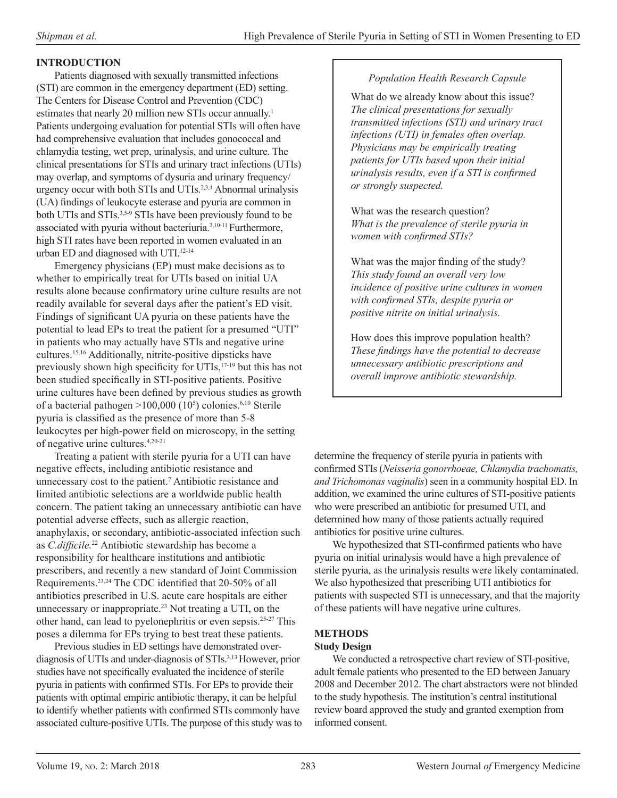## **INTRODUCTION**

Patients diagnosed with sexually transmitted infections (STI) are common in the emergency department (ED) setting. The Centers for Disease Control and Prevention (CDC) estimates that nearly 20 million new STIs occur annually.<sup>1</sup> Patients undergoing evaluation for potential STIs will often have had comprehensive evaluation that includes gonococcal and chlamydia testing, wet prep, urinalysis, and urine culture. The clinical presentations for STIs and urinary tract infections (UTIs) may overlap, and symptoms of dysuria and urinary frequency/ urgency occur with both STIs and UTIs.2,3,4 Abnormal urinalysis (UA) findings of leukocyte esterase and pyuria are common in both UTIs and STIs.3,5-9 STIs have been previously found to be associated with pyuria without bacteriuria.<sup>2,10-11</sup> Furthermore, high STI rates have been reported in women evaluated in an urban ED and diagnosed with UTI.<sup>12-14</sup>

Emergency physicians (EP) must make decisions as to whether to empirically treat for UTIs based on initial UA results alone because confirmatory urine culture results are not readily available for several days after the patient's ED visit. Findings of significant UA pyuria on these patients have the potential to lead EPs to treat the patient for a presumed "UTI" in patients who may actually have STIs and negative urine cultures.15,16 Additionally, nitrite-positive dipsticks have previously shown high specificity for UTIs,17-19 but this has not been studied specifically in STI-positive patients. Positive urine cultures have been defined by previous studies as growth of a bacterial pathogen >100,000 (10<sup>5</sup> ) colonies.6,10 Sterile pyuria is classified as the presence of more than 5-8 leukocytes per high-power field on microscopy, in the setting of negative urine cultures.4,20-21

Treating a patient with sterile pyuria for a UTI can have negative effects, including antibiotic resistance and unnecessary cost to the patient.<sup>7</sup> Antibiotic resistance and limited antibiotic selections are a worldwide public health concern. The patient taking an unnecessary antibiotic can have potential adverse effects, such as allergic reaction, anaphylaxis, or secondary, antibiotic-associated infection such as *C.difficile.*<sup>22</sup> Antibiotic stewardship has become a responsibility for healthcare institutions and antibiotic prescribers, and recently a new standard of Joint Commission Requirements.23,24 The CDC identified that 20-50% of all antibiotics prescribed in U.S. acute care hospitals are either unnecessary or inappropriate.<sup>23</sup> Not treating a UTI, on the other hand, can lead to pyelonephritis or even sepsis.25-27 This poses a dilemma for EPs trying to best treat these patients.

Previous studies in ED settings have demonstrated overdiagnosis of UTIs and under-diagnosis of STIs.3,13 However, prior studies have not specifically evaluated the incidence of sterile pyuria in patients with confirmed STIs. For EPs to provide their patients with optimal empiric antibiotic therapy, it can be helpful to identify whether patients with confirmed STIs commonly have associated culture-positive UTIs. The purpose of this study was to

#### *Population Health Research Capsule*

What do we already know about this issue? *The clinical presentations for sexually transmitted infections (STI) and urinary tract infections (UTI) in females often overlap. Physicians may be empirically treating patients for UTIs based upon their initial urinalysis results, even if a STI is confirmed or strongly suspected.* 

What was the research question? *What is the prevalence of sterile pyuria in women with confirmed STIs?*

What was the major finding of the study? *This study found an overall very low incidence of positive urine cultures in women with confirmed STIs, despite pyuria or positive nitrite on initial urinalysis.* 

How does this improve population health? *These findings have the potential to decrease unnecessary antibiotic prescriptions and overall improve antibiotic stewardship.*

determine the frequency of sterile pyuria in patients with confirmed STIs (*Neisseria gonorrhoeae, Chlamydia trachomatis, and Trichomonas vaginalis*) seen in a community hospital ED. In addition, we examined the urine cultures of STI-positive patients who were prescribed an antibiotic for presumed UTI, and determined how many of those patients actually required antibiotics for positive urine cultures.

We hypothesized that STI-confirmed patients who have pyuria on initial urinalysis would have a high prevalence of sterile pyuria, as the urinalysis results were likely contaminated. We also hypothesized that prescribing UTI antibiotics for patients with suspected STI is unnecessary, and that the majority of these patients will have negative urine cultures.

## **METHODS**

#### **Study Design**

We conducted a retrospective chart review of STI-positive, adult female patients who presented to the ED between January 2008 and December 2012. The chart abstractors were not blinded to the study hypothesis. The institution's central institutional review board approved the study and granted exemption from informed consent.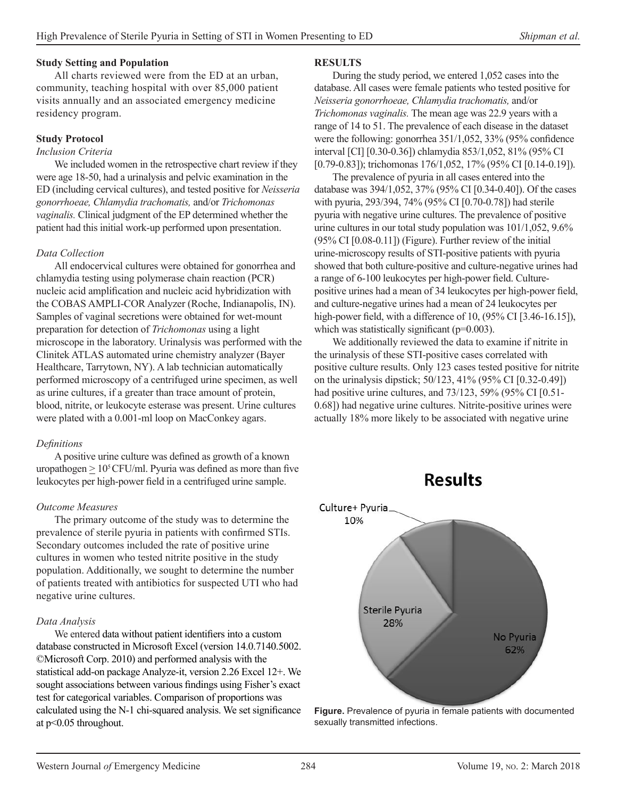#### **Study Setting and Population**

All charts reviewed were from the ED at an urban, community, teaching hospital with over 85,000 patient visits annually and an associated emergency medicine residency program.

#### **Study Protocol**

#### *Inclusion Criteria*

We included women in the retrospective chart review if they were age 18-50, had a urinalysis and pelvic examination in the ED (including cervical cultures), and tested positive for *Neisseria gonorrhoeae, Chlamydia trachomatis,* and/or *Trichomonas vaginalis.* Clinical judgment of the EP determined whether the patient had this initial work-up performed upon presentation.

#### *Data Collection*

All endocervical cultures were obtained for gonorrhea and chlamydia testing using polymerase chain reaction (PCR) nucleic acid amplification and nucleic acid hybridization with the COBAS AMPLI-COR Analyzer (Roche, Indianapolis, IN). Samples of vaginal secretions were obtained for wet-mount preparation for detection of *Trichomonas* using a light microscope in the laboratory. Urinalysis was performed with the Clinitek ATLAS automated urine chemistry analyzer (Bayer Healthcare, Tarrytown, NY). A lab technician automatically performed microscopy of a centrifuged urine specimen, as well as urine cultures, if a greater than trace amount of protein, blood, nitrite, or leukocyte esterase was present. Urine cultures were plated with a 0.001-ml loop on MacConkey agars.

#### *Definitions*

A positive urine culture was defined as growth of a known uropathogen  $\geq 10^5$  CFU/ml. Pyuria was defined as more than five leukocytes per high-power field in a centrifuged urine sample.

#### *Outcome Measures*

The primary outcome of the study was to determine the prevalence of sterile pyuria in patients with confirmed STIs. Secondary outcomes included the rate of positive urine cultures in women who tested nitrite positive in the study population. Additionally, we sought to determine the number of patients treated with antibiotics for suspected UTI who had negative urine cultures.

#### *Data Analysis*

We entered data without patient identifiers into a custom database constructed in Microsoft Excel (version 14.0.7140.5002. ©Microsoft Corp. 2010) and performed analysis with the statistical add-on package Analyze-it, version 2.26 Excel 12+. We sought associations between various findings using Fisher's exact test for categorical variables. Comparison of proportions was calculated using the N-1 chi-squared analysis. We set significance at p<0.05 throughout.

#### **RESULTS**

During the study period, we entered 1,052 cases into the database. All cases were female patients who tested positive for *Neisseria gonorrhoeae, Chlamydia trachomatis,* and/or *Trichomonas vaginalis.* The mean age was 22.9 years with a range of 14 to 51. The prevalence of each disease in the dataset were the following: gonorrhea 351/1,052, 33% (95% confidence interval [CI] [0.30-0.36]) chlamydia 853/1,052, 81% (95% CI [0.79-0.83]); trichomonas 176/1,052, 17% (95% CI [0.14-0.19]).

The prevalence of pyuria in all cases entered into the database was 394/1,052, 37% (95% CI [0.34-0.40]). Of the cases with pyuria, 293/394, 74% (95% CI [0.70-0.78]) had sterile pyuria with negative urine cultures. The prevalence of positive urine cultures in our total study population was 101/1,052, 9.6% (95% CI [0.08-0.11]) (Figure). Further review of the initial urine-microscopy results of STI-positive patients with pyuria showed that both culture-positive and culture-negative urines had a range of 6-100 leukocytes per high-power field. Culturepositive urines had a mean of 34 leukocytes per high-power field, and culture-negative urines had a mean of 24 leukocytes per high-power field, with a difference of 10, (95% CI [3.46-16.15]), which was statistically significant  $(p=0.003)$ .

We additionally reviewed the data to examine if nitrite in the urinalysis of these STI-positive cases correlated with positive culture results. Only 123 cases tested positive for nitrite on the urinalysis dipstick; 50/123, 41% (95% CI [0.32-0.49]) had positive urine cultures, and 73/123, 59% (95% CI [0.51- 0.68]) had negative urine cultures. Nitrite-positive urines were actually 18% more likely to be associated with negative urine





**Figure.** Prevalence of pyuria in female patients with documented sexually transmitted infections.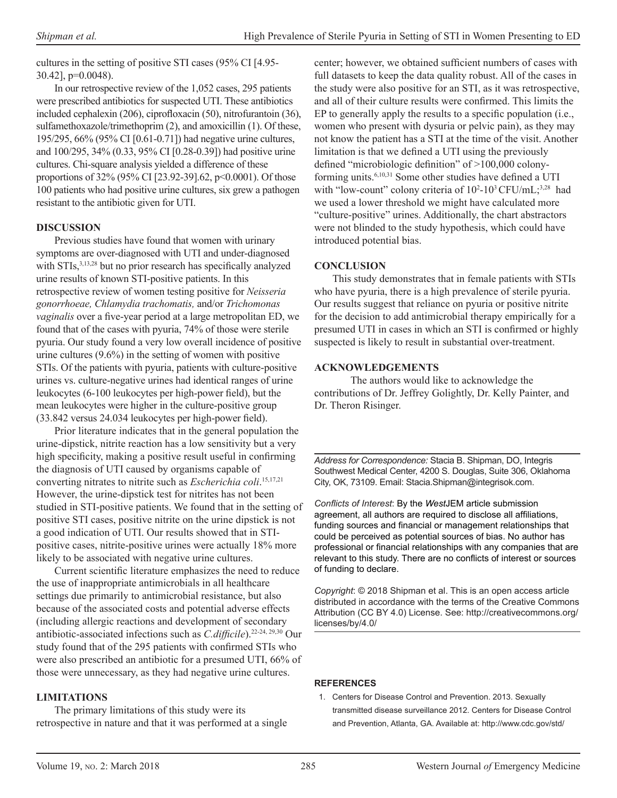cultures in the setting of positive STI cases (95% CI [4.95- 30.42], p=0.0048).

In our retrospective review of the 1,052 cases, 295 patients were prescribed antibiotics for suspected UTI. These antibiotics included cephalexin (206), ciprofloxacin (50), nitrofurantoin (36), sulfamethoxazole/trimethoprim (2), and amoxicillin (1). Of these, 195/295, 66% (95% CI [0.61-0.71]) had negative urine cultures, and 100/295, 34% (0.33, 95% CI [0.28-0.39]) had positive urine cultures. Chi-square analysis yielded a difference of these proportions of 32% (95% CI [23.92-39].62, p<0.0001). Of those 100 patients who had positive urine cultures, six grew a pathogen resistant to the antibiotic given for UTI.

#### **DISCUSSION**

Previous studies have found that women with urinary symptoms are over-diagnosed with UTI and under-diagnosed with STIs,<sup>3,13,28</sup> but no prior research has specifically analyzed urine results of known STI-positive patients. In this retrospective review of women testing positive for *Neisseria gonorrhoeae, Chlamydia trachomatis,* and/or *Trichomonas vaginalis* over a five-year period at a large metropolitan ED, we found that of the cases with pyuria, 74% of those were sterile pyuria. Our study found a very low overall incidence of positive urine cultures (9.6%) in the setting of women with positive STIs. Of the patients with pyuria, patients with culture-positive urines vs. culture-negative urines had identical ranges of urine leukocytes (6-100 leukocytes per high-power field), but the mean leukocytes were higher in the culture-positive group (33.842 versus 24.034 leukocytes per high-power field).

Prior literature indicates that in the general population the urine-dipstick, nitrite reaction has a low sensitivity but a very high specificity, making a positive result useful in confirming the diagnosis of UTI caused by organisms capable of converting nitrates to nitrite such as *Escherichia coli*. 15,17,21 However, the urine-dipstick test for nitrites has not been studied in STI-positive patients. We found that in the setting of positive STI cases, positive nitrite on the urine dipstick is not a good indication of UTI. Our results showed that in STIpositive cases, nitrite-positive urines were actually 18% more likely to be associated with negative urine cultures.

Current scientific literature emphasizes the need to reduce the use of inappropriate antimicrobials in all healthcare settings due primarily to antimicrobial resistance, but also because of the associated costs and potential adverse effects (including allergic reactions and development of secondary antibiotic-associated infections such as *C.difficile*).22-24, 29,30 Our study found that of the 295 patients with confirmed STIs who were also prescribed an antibiotic for a presumed UTI, 66% of those were unnecessary, as they had negative urine cultures.

#### **LIMITATIONS**

The primary limitations of this study were its retrospective in nature and that it was performed at a single center; however, we obtained sufficient numbers of cases with full datasets to keep the data quality robust. All of the cases in the study were also positive for an STI, as it was retrospective, and all of their culture results were confirmed. This limits the EP to generally apply the results to a specific population (i.e., women who present with dysuria or pelvic pain), as they may not know the patient has a STI at the time of the visit. Another limitation is that we defined a UTI using the previously defined "microbiologic definition" of >100,000 colonyforming units.6,10,31 Some other studies have defined a UTI with "low-count" colony criteria of  $10^2$ -10<sup>3</sup> CFU/mL;<sup>3,28</sup> had we used a lower threshold we might have calculated more "culture-positive" urines. Additionally, the chart abstractors were not blinded to the study hypothesis, which could have introduced potential bias.

#### **CONCLUSION**

This study demonstrates that in female patients with STIs who have pyuria, there is a high prevalence of sterile pyuria. Our results suggest that reliance on pyuria or positive nitrite for the decision to add antimicrobial therapy empirically for a presumed UTI in cases in which an STI is confirmed or highly suspected is likely to result in substantial over-treatment.

#### **ACKNOWLEDGEMENTS**

The authors would like to acknowledge the contributions of Dr. Jeffrey Golightly, Dr. Kelly Painter, and Dr. Theron Risinger.

*Address for Correspondence:* Stacia B. Shipman, DO, Integris Southwest Medical Center, 4200 S. Douglas, Suite 306, Oklahoma City, OK, 73109. Email: Stacia.Shipman@integrisok.com.

*Conflicts of Interest*: By the *West*JEM article submission agreement, all authors are required to disclose all affiliations, funding sources and financial or management relationships that could be perceived as potential sources of bias. No author has professional or financial relationships with any companies that are relevant to this study. There are no conflicts of interest or sources of funding to declare.

*Copyright*: © 2018 Shipman et al. This is an open access article distributed in accordance with the terms of the Creative Commons Attribution (CC BY 4.0) License. See: http://creativecommons.org/ licenses/by/4.0/

#### **REFERENCES**

1. Centers for Disease Control and Prevention. 2013. Sexually transmitted disease surveillance 2012. Centers for Disease Control and Prevention, Atlanta, GA. Available at: [http://www.cdc.gov/std/](http://www.cdc.gov/std/stats12/surv2012.pdf)